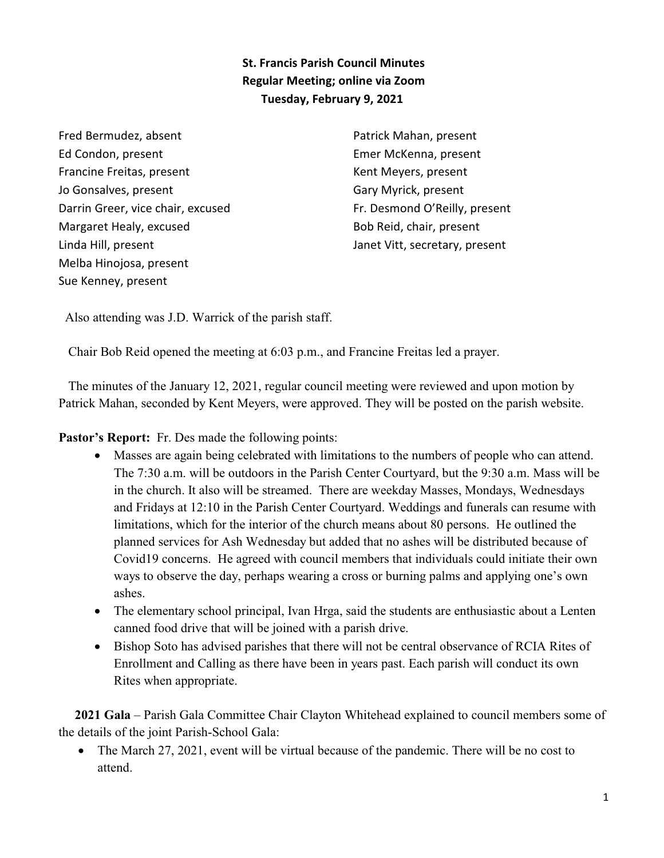**St. Francis Parish Council Minutes Regular Meeting; online via Zoom Tuesday, February 9, 2021** 

Fred Bermudez, absent Ed Condon, present Francine Freitas, present Jo Gonsalves, present Darrin Greer, vice chair, excused Margaret Healy, excused Linda Hill, present Melba Hinojosa, present Sue Kenney, present

Patrick Mahan, present Emer McKenna, present Kent Meyers, present Gary Myrick, present Fr. Desmond O'Reilly, present Bob Reid, chair, present Janet Vitt, secretary, present

Also attending was J.D. Warrick of the parish staff.

Chair Bob Reid opened the meeting at 6:03 p.m., and Francine Freitas led a prayer.

 The minutes of the January 12, 2021, regular council meeting were reviewed and upon motion by Patrick Mahan, seconded by Kent Meyers, were approved. They will be posted on the parish website.

**Pastor's Report:** Fr. Des made the following points:

- · Masses are again being celebrated with limitations to the numbers of people who can attend. The 7:30 a.m. will be outdoors in the Parish Center Courtyard, but the 9:30 a.m. Mass will be in the church. It also will be streamed. There are weekday Masses, Mondays, Wednesdays and Fridays at 12:10 in the Parish Center Courtyard. Weddings and funerals can resume with limitations, which for the interior of the church means about 80 persons. He outlined the planned services for Ash Wednesday but added that no ashes will be distributed because of Covid19 concerns. He agreed with council members that individuals could initiate their own ways to observe the day, perhaps wearing a cross or burning palms and applying one's own ashes.
- The elementary school principal, Ivan Hrga, said the students are enthusiastic about a Lenten canned food drive that will be joined with a parish drive.
- · Bishop Soto has advised parishes that there will not be central observance of RCIA Rites of Enrollment and Calling as there have been in years past. Each parish will conduct its own Rites when appropriate.

 **2021 Gala** – Parish Gala Committee Chair Clayton Whitehead explained to council members some of the details of the joint Parish-School Gala:

• The March 27, 2021, event will be virtual because of the pandemic. There will be no cost to attend.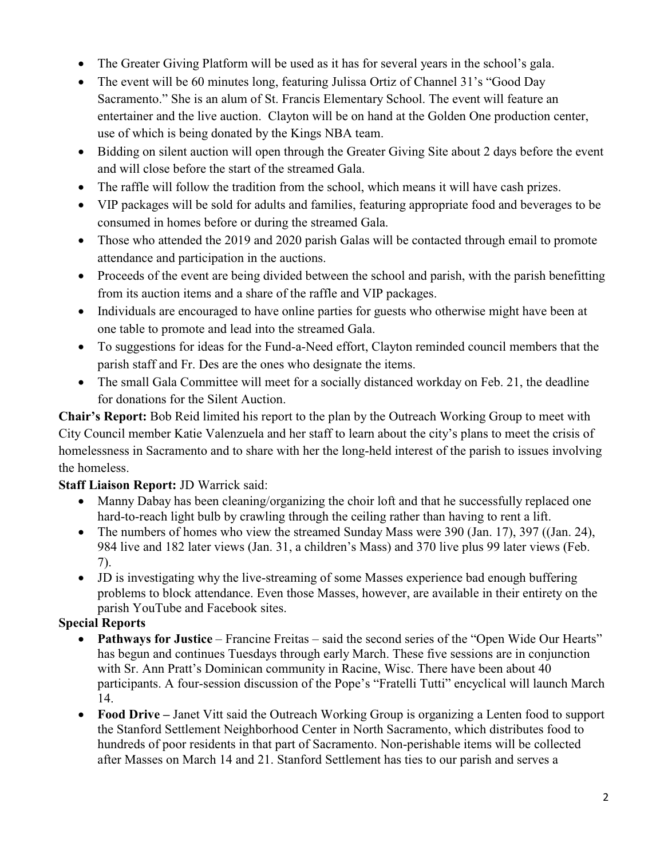- The Greater Giving Platform will be used as it has for several years in the school's gala.
- The event will be 60 minutes long, featuring Julissa Ortiz of Channel 31's "Good Day" Sacramento." She is an alum of St. Francis Elementary School. The event will feature an entertainer and the live auction. Clayton will be on hand at the Golden One production center, use of which is being donated by the Kings NBA team.
- Bidding on silent auction will open through the Greater Giving Site about 2 days before the event and will close before the start of the streamed Gala.
- The raffle will follow the tradition from the school, which means it will have cash prizes.
- · VIP packages will be sold for adults and families, featuring appropriate food and beverages to be consumed in homes before or during the streamed Gala.
- Those who attended the 2019 and 2020 parish Galas will be contacted through email to promote attendance and participation in the auctions.
- Proceeds of the event are being divided between the school and parish, with the parish benefitting from its auction items and a share of the raffle and VIP packages.
- · Individuals are encouraged to have online parties for guests who otherwise might have been at one table to promote and lead into the streamed Gala.
- · To suggestions for ideas for the Fund-a-Need effort, Clayton reminded council members that the parish staff and Fr. Des are the ones who designate the items.
- The small Gala Committee will meet for a socially distanced workday on Feb. 21, the deadline for donations for the Silent Auction.

**Chair's Report:** Bob Reid limited his report to the plan by the Outreach Working Group to meet with City Council member Katie Valenzuela and her staff to learn about the city's plans to meet the crisis of homelessness in Sacramento and to share with her the long-held interest of the parish to issues involving the homeless.

## **Staff Liaison Report:** JD Warrick said:

- Manny Dabay has been cleaning/organizing the choir loft and that he successfully replaced one hard-to-reach light bulb by crawling through the ceiling rather than having to rent a lift.
- The numbers of homes who view the streamed Sunday Mass were 390 (Jan. 17), 397 ((Jan. 24), 984 live and 182 later views (Jan. 31, a children's Mass) and 370 live plus 99 later views (Feb. 7).
- · JD is investigating why the live-streaming of some Masses experience bad enough buffering problems to block attendance. Even those Masses, however, are available in their entirety on the parish YouTube and Facebook sites.

## **Special Reports**

- · **Pathways for Justice** Francine Freitas said the second series of the "Open Wide Our Hearts" has begun and continues Tuesdays through early March. These five sessions are in conjunction with Sr. Ann Pratt's Dominican community in Racine, Wisc. There have been about 40 participants. A four-session discussion of the Pope's "Fratelli Tutti" encyclical will launch March 14.
- · **Food Drive** Janet Vitt said the Outreach Working Group is organizing a Lenten food to support the Stanford Settlement Neighborhood Center in North Sacramento, which distributes food to hundreds of poor residents in that part of Sacramento. Non-perishable items will be collected after Masses on March 14 and 21. Stanford Settlement has ties to our parish and serves a